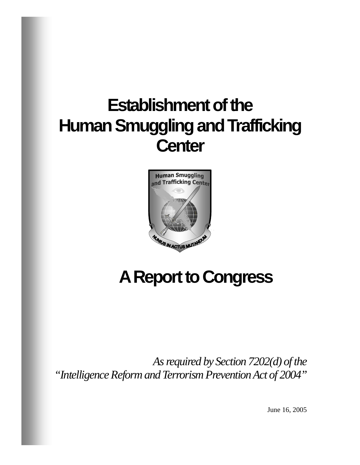# **Establishment of the Human Smuggling and Trafficking Center**



# **A Report to Congress**

*As required by Section 7202(d) of the "Intelligence Reform and Terrorism Prevention Act of 2004"* 

June 16, 2005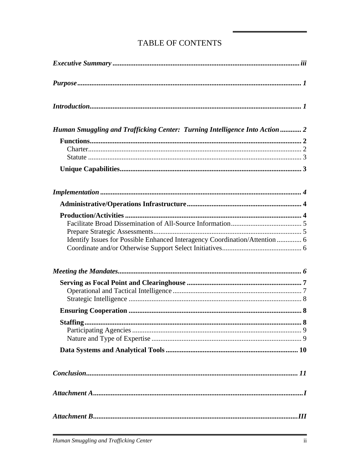| Human Smuggling and Trafficking Center: Turning Intelligence Into Action  2 |
|-----------------------------------------------------------------------------|
|                                                                             |
|                                                                             |
|                                                                             |
| Identify Issues for Possible Enhanced Interagency Coordination/Attention  6 |
|                                                                             |
|                                                                             |
|                                                                             |
|                                                                             |
|                                                                             |
| Staffing                                                                    |
|                                                                             |
|                                                                             |
|                                                                             |
|                                                                             |
|                                                                             |

## TABLE OF CONTENTS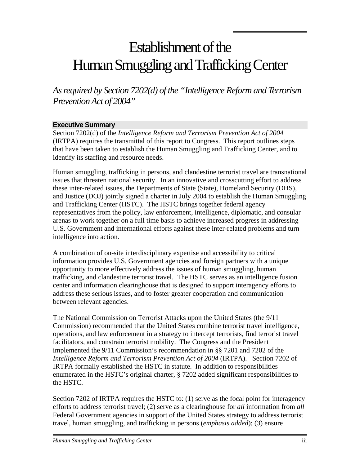## <span id="page-2-0"></span>Establishment of the Human Smuggling and Trafficking Center

*As required by Section 7202(d) of the "Intelligence Reform and Terrorism Prevention Act of 2004"* 

#### **Executive Summary**

Section 7202(d) of the *Intelligence Reform and Terrorism Prevention Act of 2004* (IRTPA) requires the transmittal of this report to Congress. This report outlines steps that have been taken to establish the Human Smuggling and Trafficking Center, and to identify its staffing and resource needs.

Human smuggling, trafficking in persons, and clandestine terrorist travel are transnational issues that threaten national security. In an innovative and crosscutting effort to address these inter-related issues, the Departments of State (State), Homeland Security (DHS), and Justice (DOJ) jointly signed a charter in July 2004 to establish the Human Smuggling and Trafficking Center (HSTC). The HSTC brings together federal agency representatives from the policy, law enforcement, intelligence, diplomatic, and consular arenas to work together on a full time basis to achieve increased progress in addressing U.S. Government and international efforts against these inter-related problems and turn intelligence into action.

A combination of on-site interdisciplinary expertise and accessibility to critical information provides U.S. Government agencies and foreign partners with a unique opportunity to more effectively address the issues of human smuggling, human trafficking, and clandestine terrorist travel. The HSTC serves as an intelligence fusion center and information clearinghouse that is designed to support interagency efforts to address these serious issues, and to foster greater cooperation and communication between relevant agencies.

The National Commission on Terrorist Attacks upon the United States (the 9/11 Commission) recommended that the United States combine terrorist travel intelligence, operations, and law enforcement in a strategy to intercept terrorists, find terrorist travel facilitators, and constrain terrorist mobility. The Congress and the President implemented the 9/11 Commission's recommendation in §§ 7201 and 7202 of the *Intelligence Reform and Terrorism Prevention Act of 2004* (IRTPA). Section 7202 of IRTPA formally established the HSTC in statute. In addition to responsibilities enumerated in the HSTC's original charter, § 7202 added significant responsibilities to the HSTC.

Section 7202 of IRTPA requires the HSTC to: (1) serve as the focal point for interagency efforts to address terrorist travel; (2) serve as a clearinghouse for *all* information from *all* Federal Government agencies in support of the United States strategy to address terrorist travel, human smuggling, and trafficking in persons (*emphasis added*); (3) ensure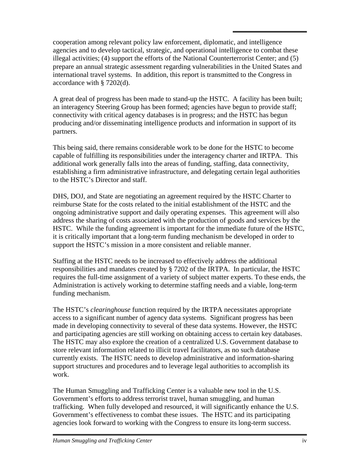cooperation among relevant policy law enforcement, diplomatic, and intelligence agencies and to develop tactical, strategic, and operational intelligence to combat these illegal activities; (4) support the efforts of the National Counterterrorist Center; and (5) prepare an annual strategic assessment regarding vulnerabilities in the United States and international travel systems. In addition, this report is transmitted to the Congress in accordance with § 7202(d).

A great deal of progress has been made to stand-up the HSTC. A facility has been built; an interagency Steering Group has been formed; agencies have begun to provide staff; connectivity with critical agency databases is in progress; and the HSTC has begun producing and/or disseminating intelligence products and information in support of its partners.

This being said, there remains considerable work to be done for the HSTC to become capable of fulfilling its responsibilities under the interagency charter and IRTPA. This additional work generally falls into the areas of funding, staffing, data connectivity, establishing a firm administrative infrastructure, and delegating certain legal authorities to the HSTC's Director and staff.

DHS, DOJ, and State are negotiating an agreement required by the HSTC Charter to reimburse State for the costs related to the initial establishment of the HSTC and the ongoing administrative support and daily operating expenses. This agreement will also address the sharing of costs associated with the production of goods and services by the HSTC. While the funding agreement is important for the immediate future of the HSTC, it is critically important that a long-term funding mechanism be developed in order to support the HSTC's mission in a more consistent and reliable manner.

Staffing at the HSTC needs to be increased to effectively address the additional responsibilities and mandates created by § 7202 of the IRTPA. In particular, the HSTC requires the full-time assignment of a variety of subject matter experts. To these ends, the Administration is actively working to determine staffing needs and a viable, long-term funding mechanism.

The HSTC's *clearinghouse* function required by the IRTPA necessitates appropriate access to a significant number of agency data systems. Significant progress has been made in developing connectivity to several of these data systems. However, the HSTC and participating agencies are still working on obtaining access to certain key databases. The HSTC may also explore the creation of a centralized U.S. Government database to store relevant information related to illicit travel facilitators, as no such database currently exists. The HSTC needs to develop administrative and information-sharing support structures and procedures and to leverage legal authorities to accomplish its work.

The Human Smuggling and Trafficking Center is a valuable new tool in the U.S. Government's efforts to address terrorist travel, human smuggling, and human trafficking. When fully developed and resourced, it will significantly enhance the U.S. Government's effectiveness to combat these issues. The HSTC and its participating agencies look forward to working with the Congress to ensure its long-term success.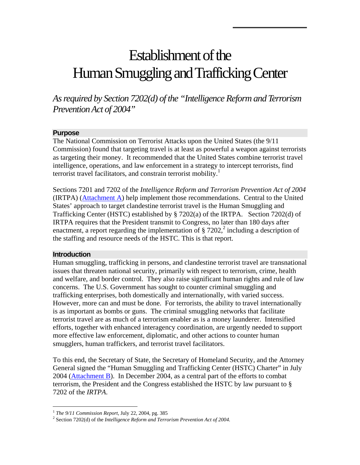## <span id="page-4-0"></span>Establishment of the Human Smuggling and Trafficking Center

*As required by Section 7202(d) of the "Intelligence Reform and Terrorism Prevention Act of 2004"* 

#### **Purpose**

The National Commission on Terrorist Attacks upon the United States (the 9/11 Commission) found that targeting travel is at least as powerful a weapon against terrorists as targeting their money. It recommended that the United States combine terrorist travel intelligence, operations, and law enforcement in a strategy to intercept terrorists, find terrorist travel facilitators, and constrain terrorist mobility.<sup>[1](#page-4-1)</sup>

Sections 7201 and 7202 of the *Intelligence Reform and Terrorism Prevention Act of 2004*  (IRTPA) ([Attachment A](#page-15-0)) help implement those recommendations. Central to the United States' approach to target clandestine terrorist travel is the Human Smuggling and Trafficking Center (HSTC) established by § 7202(a) of the IRTPA. Section 7202(d) of IRTPA requires that the President transmit to Congress, no later than 180 days after enactment, a report regarding the implementation of  $\S 7202$  $\S 7202$  $\S 7202$ ,<sup>2</sup> including a description of the staffing and resource needs of the HSTC. This is that report.

#### **Introduction**

 $\overline{a}$ 

Human smuggling, trafficking in persons, and clandestine terrorist travel are transnational issues that threaten national security, primarily with respect to terrorism, crime, health and welfare, and border control. They also raise significant human rights and rule of law concerns. The U.S. Government has sought to counter criminal smuggling and trafficking enterprises, both domestically and internationally, with varied success. However, more can and must be done. For terrorists, the ability to travel internationally is as important as bombs or guns. The criminal smuggling networks that facilitate terrorist travel are as much of a terrorism enabler as is a money launderer. Intensified efforts, together with enhanced interagency coordination, are urgently needed to support more effective law enforcement, diplomatic, and other actions to counter human smugglers, human traffickers, and terrorist travel facilitators.

To this end, the Secretary of State, the Secretary of Homeland Security, and the Attorney General signed the "Human Smuggling and Trafficking Center (HSTC) Charter" in July 2004 ([Attachment B\)](#page-17-0). In December 2004, as a central part of the efforts to combat terrorism, the President and the Congress established the HSTC by law pursuant to § 7202 of the *IRTPA*.

<span id="page-4-1"></span><sup>1</sup> *The 9/11 Commission Report*, July 22, 2004, pg. 385 2

<span id="page-4-2"></span><sup>&</sup>lt;sup>2</sup> Section 7202(d) of the *Intelligence Reform and Terrorism Prevention Act of 2004*.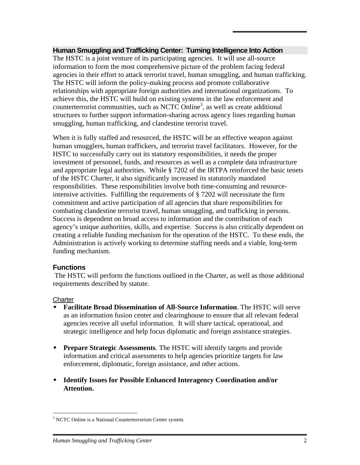#### <span id="page-5-0"></span>**Human Smuggling and Trafficking Center: Turning Intelligence Into Action**

The HSTC is a joint venture of its participating agencies. It will use all-source information to form the most comprehensive picture of the problem facing federal agencies in their effort to attack terrorist travel, human smuggling, and human trafficking. The HSTC will inform the policy-making process and promote collaborative relationships with appropriate foreign authorities and international organizations. To achieve this, the HSTC will build on existing systems in the law enforcement and counterterrorist communities, such as NCTC Online<sup>[3](#page-5-1)</sup>, as well as create additional structures to further support information-sharing across agency lines regarding human smuggling, human trafficking, and clandestine terrorist travel.

When it is fully staffed and resourced, the HSTC will be an effective weapon against human smugglers, human traffickers, and terrorist travel facilitators. However, for the HSTC to successfully carry out its statutory responsibilities, it needs the proper investment of personnel, funds, and resources as well as a complete data infrastructure and appropriate legal authorities. While § 7202 of the IRTPA reinforced the basic tenets of the HSTC Charter, it also significantly increased its statutorily mandated responsibilities. These responsibilities involve both time-consuming and resourceintensive activities. Fulfilling the requirements of § 7202 will necessitate the firm commitment and active participation of all agencies that share responsibilities for combating clandestine terrorist travel, human smuggling, and trafficking in persons. Success is dependent on broad access to information and the contribution of each agency's unique authorities, skills, and expertise. Success is also critically dependent on creating a reliable funding mechanism for the operation of the HSTC. To these ends, the Administration is actively working to determine staffing needs and a viable, long-term funding mechanism.

#### **Functions**

 The HSTC will perform the functions outlined in the Charter, as well as those additional requirements described by statute.

#### **Charter**

 $\overline{a}$ 

- **Facilitate Broad Dissemination of All-Source Information**. The HSTC will serve as an information fusion center and clearinghouse to ensure that all relevant federal agencies receive all useful information. It will share tactical, operational, and strategic intelligence and help focus diplomatic and foreign assistance strategies.
- **Prepare Strategic Assessments**. The HSTC will identify targets and provide information and critical assessments to help agencies prioritize targets for law enforcement, diplomatic, foreign assistance, and other actions.
- **Identify Issues for Possible Enhanced Interagency Coordination and/or Attention.**

<span id="page-5-1"></span><sup>&</sup>lt;sup>3</sup> NCTC Online is a National Counterterrorism Center system.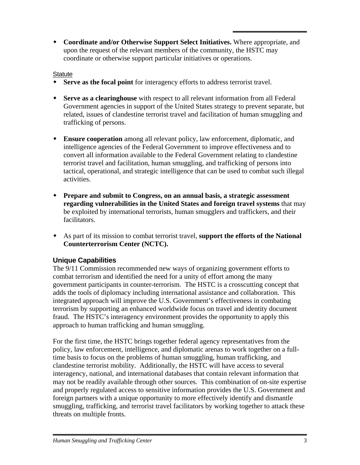<span id="page-6-0"></span> **Coordinate and/or Otherwise Support Select Initiatives.** Where appropriate, and upon the request of the relevant members of the community, the HSTC may coordinate or otherwise support particular initiatives or operations.

#### **Statute**

- **Serve as the focal point** for interagency efforts to address terrorist travel.
- **Serve as a clearinghouse** with respect to all relevant information from all Federal Government agencies in support of the United States strategy to prevent separate, but related, issues of clandestine terrorist travel and facilitation of human smuggling and trafficking of persons.
- **Ensure cooperation** among all relevant policy, law enforcement, diplomatic, and intelligence agencies of the Federal Government to improve effectiveness and to convert all information available to the Federal Government relating to clandestine terrorist travel and facilitation, human smuggling, and trafficking of persons into tactical, operational, and strategic intelligence that can be used to combat such illegal activities.
- **Prepare and submit to Congress, on an annual basis, a strategic assessment regarding vulnerabilities in the United States and foreign travel systems** that may be exploited by international terrorists, human smugglers and traffickers, and their facilitators.
- As part of its mission to combat terrorist travel, **support the efforts of the National Counterterrorism Center (NCTC).**

## **Unique Capabilities**

The 9/11 Commission recommended new ways of organizing government efforts to combat terrorism and identified the need for a unity of effort among the many government participants in counter-terrorism. The HSTC is a crosscutting concept that adds the tools of diplomacy including international assistance and collaboration. This integrated approach will improve the U.S. Government's effectiveness in combating terrorism by supporting an enhanced worldwide focus on travel and identity document fraud. The HSTC's interagency environment provides the opportunity to apply this approach to human trafficking and human smuggling.

For the first time, the HSTC brings together federal agency representatives from the policy, law enforcement, intelligence, and diplomatic arenas to work together on a fulltime basis to focus on the problems of human smuggling, human trafficking, and clandestine terrorist mobility. Additionally, the HSTC will have access to several interagency, national, and international databases that contain relevant information that may not be readily available through other sources. This combination of on-site expertise and properly regulated access to sensitive information provides the U.S. Government and foreign partners with a unique opportunity to more effectively identify and dismantle smuggling, trafficking, and terrorist travel facilitators by working together to attack these threats on multiple fronts.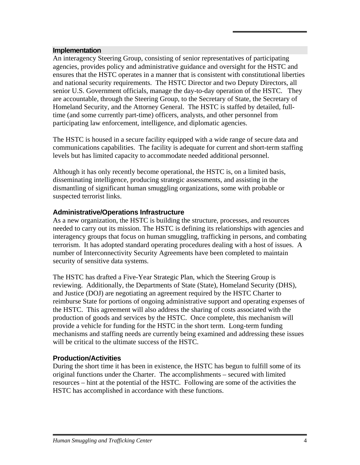#### <span id="page-7-0"></span>**Implementation**

An interagency Steering Group, consisting of senior representatives of participating agencies, provides policy and administrative guidance and oversight for the HSTC and ensures that the HSTC operates in a manner that is consistent with constitutional liberties and national security requirements. The HSTC Director and two Deputy Directors, all senior U.S. Government officials, manage the day-to-day operation of the HSTC. They are accountable, through the Steering Group, to the Secretary of State, the Secretary of Homeland Security, and the Attorney General. The HSTC is staffed by detailed, fulltime (and some currently part-time) officers, analysts, and other personnel from participating law enforcement, intelligence, and diplomatic agencies.

The HSTC is housed in a secure facility equipped with a wide range of secure data and communications capabilities. The facility is adequate for current and short-term staffing levels but has limited capacity to accommodate needed additional personnel.

Although it has only recently become operational, the HSTC is, on a limited basis, disseminating intelligence, producing strategic assessments, and assisting in the dismantling of significant human smuggling organizations, some with probable or suspected terrorist links.

#### **Administrative/Operations Infrastructure**

As a new organization, the HSTC is building the structure, processes, and resources needed to carry out its mission. The HSTC is defining its relationships with agencies and interagency groups that focus on human smuggling, trafficking in persons, and combating terrorism. It has adopted standard operating procedures dealing with a host of issues. A number of Interconnectivity Security Agreements have been completed to maintain security of sensitive data systems.

The HSTC has drafted a Five-Year Strategic Plan, which the Steering Group is reviewing. Additionally, the Departments of State (State), Homeland Security (DHS), and Justice (DOJ) are negotiating an agreement required by the HSTC Charter to reimburse State for portions of ongoing administrative support and operating expenses of the HSTC. This agreement will also address the sharing of costs associated with the production of goods and services by the HSTC. Once complete, this mechanism will provide a vehicle for funding for the HSTC in the short term. Long-term funding mechanisms and staffing needs are currently being examined and addressing these issues will be critical to the ultimate success of the HSTC.

#### **Production/Activities**

During the short time it has been in existence, the HSTC has begun to fulfill some of its original functions under the Charter. The accomplishments – secured with limited resources – hint at the potential of the HSTC. Following are some of the activities the HSTC has accomplished in accordance with these functions.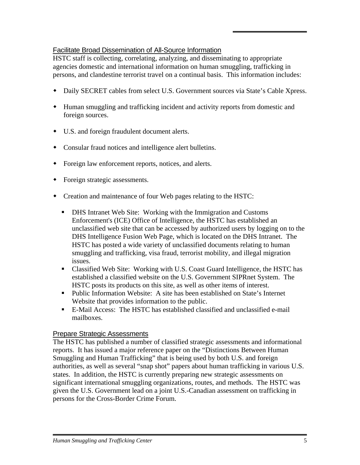## <span id="page-8-0"></span>Facilitate Broad Dissemination of All-Source Information

HSTC staff is collecting, correlating, analyzing, and disseminating to appropriate agencies domestic and international information on human smuggling, trafficking in persons, and clandestine terrorist travel on a continual basis. This information includes:

- Daily SECRET cables from select U.S. Government sources via State's Cable Xpress.
- Human smuggling and trafficking incident and activity reports from domestic and foreign sources.
- U.S. and foreign fraudulent document alerts.
- Consular fraud notices and intelligence alert bulletins.
- Foreign law enforcement reports, notices, and alerts.
- Foreign strategic assessments.
- Creation and maintenance of four Web pages relating to the HSTC:
	- **DHS Intranet Web Site: Working with the Immigration and Customs** Enforcement's (ICE) Office of Intelligence, the HSTC has established an unclassified web site that can be accessed by authorized users by logging on to the DHS Intelligence Fusion Web Page, which is located on the DHS Intranet. The HSTC has posted a wide variety of unclassified documents relating to human smuggling and trafficking, visa fraud, terrorist mobility, and illegal migration issues.
	- Classified Web Site: Working with U.S. Coast Guard Intelligence, the HSTC has established a classified website on the U.S. Government SIPRnet System. The HSTC posts its products on this site, as well as other items of interest.
	- Public Information Website: A site has been established on State's Internet Website that provides information to the public.
	- E-Mail Access: The HSTC has established classified and unclassified e-mail mailboxes.

#### Prepare Strategic Assessments

The HSTC has published a number of classified strategic assessments and informational reports. It has issued a major reference paper on the "Distinctions Between Human Smuggling and Human Trafficking" that is being used by both U.S. and foreign authorities, as well as several "snap shot" papers about human trafficking in various U.S. states. In addition, the HSTC is currently preparing new strategic assessments on significant international smuggling organizations, routes, and methods. The HSTC was given the U.S. Government lead on a joint U.S.-Canadian assessment on trafficking in persons for the Cross-Border Crime Forum.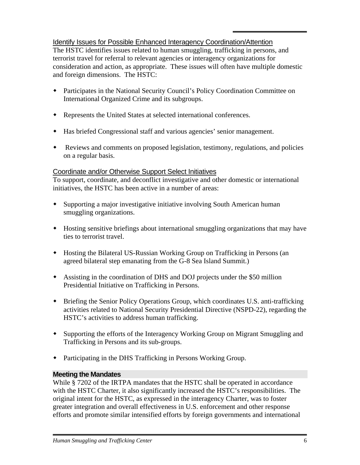## <span id="page-9-0"></span>Identify Issues for Possible Enhanced Interagency Coordination/Attention

The HSTC identifies issues related to human smuggling, trafficking in persons, and terrorist travel for referral to relevant agencies or interagency organizations for consideration and action, as appropriate. These issues will often have multiple domestic and foreign dimensions. The HSTC:

- Participates in the National Security Council's Policy Coordination Committee on International Organized Crime and its subgroups.
- Represents the United States at selected international conferences.
- Has briefed Congressional staff and various agencies' senior management.
- Reviews and comments on proposed legislation, testimony, regulations, and policies on a regular basis.

#### Coordinate and/or Otherwise Support Select Initiatives

To support, coordinate, and deconflict investigative and other domestic or international initiatives, the HSTC has been active in a number of areas:

- Supporting a major investigative initiative involving South American human smuggling organizations.
- Hosting sensitive briefings about international smuggling organizations that may have ties to terrorist travel.
- Hosting the Bilateral US-Russian Working Group on Trafficking in Persons (an agreed bilateral step emanating from the G-8 Sea Island Summit.)
- Assisting in the coordination of DHS and DOJ projects under the \$50 million Presidential Initiative on Trafficking in Persons.
- Briefing the Senior Policy Operations Group, which coordinates U.S. anti-trafficking activities related to National Security Presidential Directive (NSPD-22), regarding the HSTC's activities to address human trafficking.
- Supporting the efforts of the Interagency Working Group on Migrant Smuggling and Trafficking in Persons and its sub-groups.
- Participating in the DHS Trafficking in Persons Working Group.

#### **Meeting the Mandates**

While § 7202 of the IRTPA mandates that the HSTC shall be operated in accordance with the HSTC Charter, it also significantly increased the HSTC's responsibilities. The original intent for the HSTC, as expressed in the interagency Charter, was to foster greater integration and overall effectiveness in U.S. enforcement and other response efforts and promote similar intensified efforts by foreign governments and international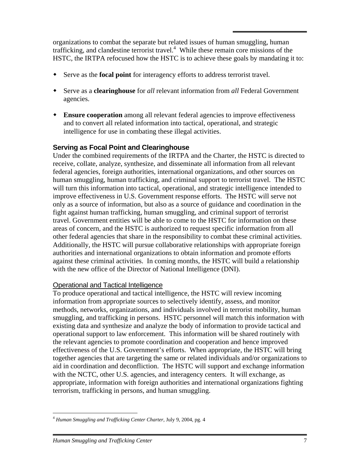<span id="page-10-0"></span>organizations to combat the separate but related issues of human smuggling, human trafficking, and clandestine terrorist travel. $4$  While these remain core missions of the HSTC, the IRTPA refocused how the HSTC is to achieve these goals by mandating it to:

- Serve as the **focal point** for interagency efforts to address terrorist travel.
- Serve as a **clearinghouse** for *all* relevant information from *all* Federal Government agencies.
- **Ensure cooperation** among all relevant federal agencies to improve effectiveness and to convert all related information into tactical, operational, and strategic intelligence for use in combating these illegal activities.

## **Serving as Focal Point and Clearinghouse**

Under the combined requirements of the IRTPA and the Charter, the HSTC is directed to receive, collate, analyze, synthesize, and disseminate all information from all relevant federal agencies, foreign authorities, international organizations, and other sources on human smuggling, human trafficking, and criminal support to terrorist travel. The HSTC will turn this information into tactical, operational, and strategic intelligence intended to improve effectiveness in U.S. Government response efforts. The HSTC will serve not only as a source of information, but also as a source of guidance and coordination in the fight against human trafficking, human smuggling, and criminal support of terrorist travel. Government entities will be able to come to the HSTC for information on these areas of concern, and the HSTC is authorized to request specific information from all other federal agencies that share in the responsibility to combat these criminal activities. Additionally, the HSTC will pursue collaborative relationships with appropriate foreign authorities and international organizations to obtain information and promote efforts against these criminal activities. In coming months, the HSTC will build a relationship with the new office of the Director of National Intelligence (DNI).

#### Operational and Tactical Intelligence

To produce operational and tactical intelligence, the HSTC will review incoming information from appropriate sources to selectively identify, assess, and monitor methods, networks, organizations, and individuals involved in terrorist mobility, human smuggling, and trafficking in persons. HSTC personnel will match this information with existing data and synthesize and analyze the body of information to provide tactical and operational support to law enforcement. This information will be shared routinely with the relevant agencies to promote coordination and cooperation and hence improved effectiveness of the U.S. Government's efforts. When appropriate, the HSTC will bring together agencies that are targeting the same or related individuals and/or organizations to aid in coordination and deconfliction. The HSTC will support and exchange information with the NCTC, other U.S. agencies, and interagency centers. It will exchange, as appropriate, information with foreign authorities and international organizations fighting terrorism, trafficking in persons, and human smuggling.

<span id="page-10-1"></span> $\overline{a}$ <sup>4</sup> *Human Smuggling and Trafficking Center Charter*, July 9, 2004, pg. 4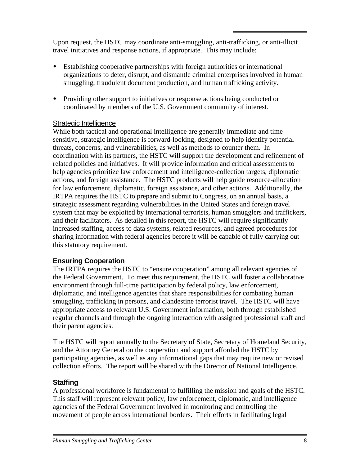<span id="page-11-0"></span>Upon request, the HSTC may coordinate anti-smuggling, anti-trafficking, or anti-illicit travel initiatives and response actions, if appropriate. This may include:

- Establishing cooperative partnerships with foreign authorities or international organizations to deter, disrupt, and dismantle criminal enterprises involved in human smuggling, fraudulent document production, and human trafficking activity.
- Providing other support to initiatives or response actions being conducted or coordinated by members of the U.S. Government community of interest.

## Strategic Intelligence

While both tactical and operational intelligence are generally immediate and time sensitive, strategic intelligence is forward-looking, designed to help identify potential threats, concerns, and vulnerabilities, as well as methods to counter them. In coordination with its partners, the HSTC will support the development and refinement of related policies and initiatives. It will provide information and critical assessments to help agencies prioritize law enforcement and intelligence-collection targets, diplomatic actions, and foreign assistance. The HSTC products will help guide resource-allocation for law enforcement, diplomatic, foreign assistance, and other actions. Additionally, the IRTPA requires the HSTC to prepare and submit to Congress, on an annual basis, a strategic assessment regarding vulnerabilities in the United States and foreign travel system that may be exploited by international terrorists, human smugglers and traffickers, and their facilitators. As detailed in this report, the HSTC will require significantly increased staffing, access to data systems, related resources, and agreed procedures for sharing information with federal agencies before it will be capable of fully carrying out this statutory requirement.

## **Ensuring Cooperation**

The IRTPA requires the HSTC to "ensure cooperation" among all relevant agencies of the Federal Government. To meet this requirement, the HSTC will foster a collaborative environment through full-time participation by federal policy, law enforcement, diplomatic, and intelligence agencies that share responsibilities for combating human smuggling, trafficking in persons, and clandestine terrorist travel. The HSTC will have appropriate access to relevant U.S. Government information, both through established regular channels and through the ongoing interaction with assigned professional staff and their parent agencies.

The HSTC will report annually to the Secretary of State, Secretary of Homeland Security, and the Attorney General on the cooperation and support afforded the HSTC by participating agencies, as well as any informational gaps that may require new or revised collection efforts. The report will be shared with the Director of National Intelligence.

## **Staffing**

A professional workforce is fundamental to fulfilling the mission and goals of the HSTC. This staff will represent relevant policy, law enforcement, diplomatic, and intelligence agencies of the Federal Government involved in monitoring and controlling the movement of people across international borders. Their efforts in facilitating legal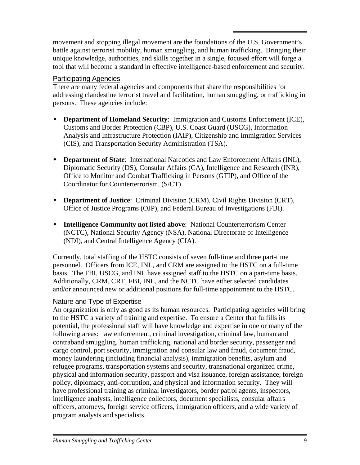<span id="page-12-0"></span>movement and stopping illegal movement are the foundations of the U.S. Government's battle against terrorist mobility, human smuggling, and human trafficking. Bringing their unique knowledge, authorities, and skills together in a single, focused effort will forge a tool that will become a standard in effective intelligence-based enforcement and security.

#### Participating Agencies

There are many federal agencies and components that share the responsibilities for addressing clandestine terrorist travel and facilitation, human smuggling, or trafficking in persons. These agencies include:

- **Department of Homeland Security**: Immigration and Customs Enforcement (ICE), Customs and Border Protection (CBP), U.S. Coast Guard (USCG), Information Analysis and Infrastructure Protection (IAIP), Citizenship and Immigration Services (CIS), and Transportation Security Administration (TSA).
- **Department of State**: International Narcotics and Law Enforcement Affairs (INL), Diplomatic Security (DS), Consular Affairs (CA), Intelligence and Research (INR), Office to Monitor and Combat Trafficking in Persons (GTIP), and Office of the Coordinator for Counterterrorism. (S/CT).
- **Department of Justice**: Criminal Division (CRM), Civil Rights Division (CRT), Office of Justice Programs (OJP), and Federal Bureau of Investigations (FBI).
- **Intelligence Community not listed above**: National Counterterrorism Center (NCTC), National Security Agency (NSA), National Directorate of Intelligence (NDI), and Central Intelligence Agency (CIA).

Currently, total staffing of the HSTC consists of seven full-time and three part-time personnel. Officers from ICE, INL, and CRM are assigned to the HSTC on a full-time basis. The FBI, USCG, and INL have assigned staff to the HSTC on a part-time basis. Additionally, CRM, CRT, FBI, INL, and the NCTC have either selected candidates and/or announced new or additional positions for full-time appointment to the HSTC.

#### Nature and Type of Expertise

An organization is only as good as its human resources. Participating agencies will bring to the HSTC a variety of training and expertise. To ensure a Center that fulfills its potential, the professional staff will have knowledge and expertise in one or many of the following areas: law enforcement, criminal investigation, criminal law, human and contraband smuggling, human trafficking, national and border security, passenger and cargo control, port security, immigration and consular law and fraud, document fraud, money laundering (including financial analysis), immigration benefits, asylum and refugee programs, transportation systems and security, transnational organized crime, physical and information security, passport and visa issuance, foreign assistance, foreign policy, diplomacy, anti-corruption, and physical and information security. They will have professional training as criminal investigators, border patrol agents, inspectors, intelligence analysts, intelligence collectors, document specialists, consular affairs officers, attorneys, foreign service officers, immigration officers, and a wide variety of program analysts and specialists.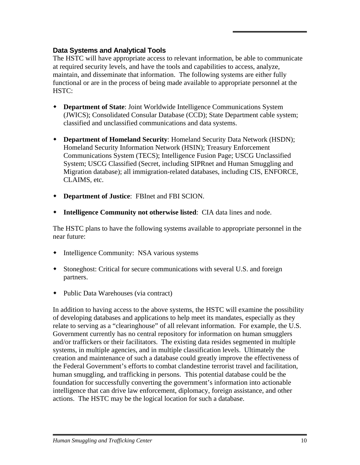## <span id="page-13-0"></span>**Data Systems and Analytical Tools**

The HSTC will have appropriate access to relevant information, be able to communicate at required security levels, and have the tools and capabilities to access, analyze, maintain, and disseminate that information. The following systems are either fully functional or are in the process of being made available to appropriate personnel at the HSTC:

- **Department of State**: Joint Worldwide Intelligence Communications System (JWICS); Consolidated Consular Database (CCD); State Department cable system; classified and unclassified communications and data systems.
- **Department of Homeland Security**: Homeland Security Data Network (HSDN); Homeland Security Information Network (HSIN); Treasury Enforcement Communications System (TECS); Intelligence Fusion Page; USCG Unclassified System; USCG Classified (Secret, including SIPRnet and Human Smuggling and Migration database); all immigration-related databases, including CIS, ENFORCE, CLAIMS, etc.
- **Department of Justice**: FBInet and FBI SCION.
- **Intelligence Community not otherwise listed**: CIA data lines and node.

The HSTC plans to have the following systems available to appropriate personnel in the near future:

- Intelligence Community: NSA various systems
- Stoneghost: Critical for secure communications with several U.S. and foreign partners.
- Public Data Warehouses (via contract)

In addition to having access to the above systems, the HSTC will examine the possibility of developing databases and applications to help meet its mandates, especially as they relate to serving as a "clearinghouse" of all relevant information. For example, the U.S. Government currently has no central repository for information on human smugglers and/or traffickers or their facilitators. The existing data resides segmented in multiple systems, in multiple agencies, and in multiple classification levels. Ultimately the creation and maintenance of such a database could greatly improve the effectiveness of the Federal Government's efforts to combat clandestine terrorist travel and facilitation, human smuggling, and trafficking in persons. This potential database could be the foundation for successfully converting the government's information into actionable intelligence that can drive law enforcement, diplomacy, foreign assistance, and other actions. The HSTC may be the logical location for such a database.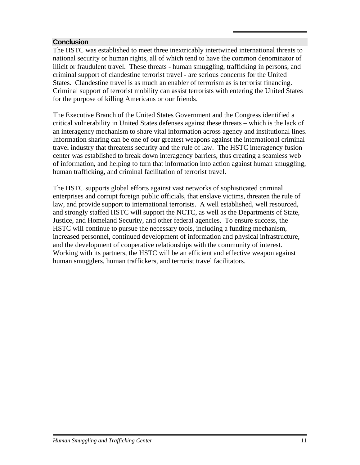#### <span id="page-14-0"></span>**Conclusion**

The HSTC was established to meet three inextricably intertwined international threats to national security or human rights, all of which tend to have the common denominator of illicit or fraudulent travel. These threats - human smuggling, trafficking in persons, and criminal support of clandestine terrorist travel - are serious concerns for the United States. Clandestine travel is as much an enabler of terrorism as is terrorist financing. Criminal support of terrorist mobility can assist terrorists with entering the United States for the purpose of killing Americans or our friends.

The Executive Branch of the United States Government and the Congress identified a critical vulnerability in United States defenses against these threats – which is the lack of an interagency mechanism to share vital information across agency and institutional lines. Information sharing can be one of our greatest weapons against the international criminal travel industry that threatens security and the rule of law. The HSTC interagency fusion center was established to break down interagency barriers, thus creating a seamless web of information, and helping to turn that information into action against human smuggling, human trafficking, and criminal facilitation of terrorist travel.

The HSTC supports global efforts against vast networks of sophisticated criminal enterprises and corrupt foreign public officials, that enslave victims, threaten the rule of law, and provide support to international terrorists. A well established, well resourced, and strongly staffed HSTC will support the NCTC, as well as the Departments of State, Justice, and Homeland Security, and other federal agencies. To ensure success, the HSTC will continue to pursue the necessary tools, including a funding mechanism, increased personnel, continued development of information and physical infrastructure, and the development of cooperative relationships with the community of interest. Working with its partners, the HSTC will be an efficient and effective weapon against human smugglers, human traffickers, and terrorist travel facilitators.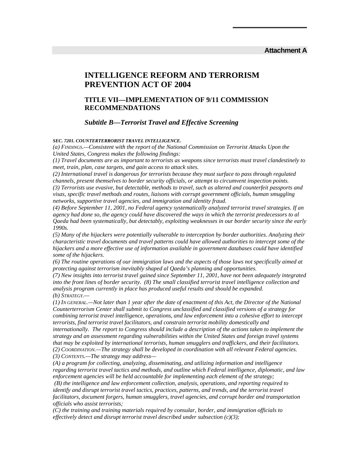#### **Attachment A**

#### <span id="page-15-0"></span>**INTELLIGENCE REFORM AND TERRORISM PREVENTION ACT OF 2004**

#### **TITLE VII—IMPLEMENTATION OF 9/11 COMMISSION RECOMMENDATIONS**

#### *Subtitle B—Terrorist Travel and Effective Screening*

*SEC. 7201. COUNTERTERRORIST TRAVEL INTELLIGENCE.* 

*(a) FINDINGS.—Consistent with the report of the National Commission on Terrorist Attacks Upon the United States, Congress makes the following findings:* 

*(1) Travel documents are as important to terrorists as weapons since terrorists must travel clandestinely to meet, train, plan, case targets, and gain access to attack sites.* 

*(2) International travel is dangerous for terrorists because they must surface to pass through regulated channels, present themselves to border security officials, or attempt to circumvent inspection points. (3) Terrorists use evasive, but detectable, methods to travel, such as altered and counterfeit passports and visas, specific travel methods and routes, liaisons with corrupt government officials, human smuggling networks, supportive travel agencies, and immigration and identity fraud.* 

*(4) Before September 11, 2001, no Federal agency systematically analyzed terrorist travel strategies. If an agency had done so, the agency could have discovered the ways in which the terrorist predecessors to al Qaeda had been systematically, but detectably, exploiting weaknesses in our border security since the early 1990s.* 

*(5) Many of the hijackers were potentially vulnerable to interception by border authorities. Analyzing their characteristic travel documents and travel patterns could have allowed authorities to intercept some of the hijackers and a more effective use of information available in government databases could have identified some of the hijackers.* 

*(6) The routine operations of our immigration laws and the aspects of those laws not specifically aimed at protecting against terrorism inevitably shaped al Qaeda's planning and opportunities.* 

*(7) New insights into terrorist travel gained since September 11, 2001, have not been adequately integrated into the front lines of border security. (8) The small classified terrorist travel intelligence collection and analysis program currently in place has produced useful results and should be expanded. (b) STRATEGY.—* 

*(1) IN GENERAL.—Not later than 1 year after the date of enactment of this Act, the Director of the National Counterterrorism Center shall submit to Congress unclassified and classified versions of a strategy for combining terrorist travel intelligence, operations, and law enforcement into a cohesive effort to intercept terrorists, find terrorist travel facilitators, and constrain terrorist mobility domestically and internationally. The report to Congress should include a description of the actions taken to implement the strategy and an assessment regarding vulnerabilities within the United States and foreign travel systems that may be exploited by international terrorists, human smugglers and traffickers, and their facilitators. (2) COORDINATION.—The strategy shall be developed in coordination with all relevant Federal agencies.* 

*(3) CONTENTS.—The strategy may address—* 

*(A) a program for collecting, analyzing, disseminating, and utilizing information and intelligence regarding terrorist travel tactics and methods, and outline which Federal intelligence, diplomatic, and law enforcement agencies will be held accountable for implementing each element of the strategy;* 

 *(B) the intelligence and law enforcement collection, analysis, operations, and reporting required to identify and disrupt terrorist travel tactics, practices, patterns, and trends, and the terrorist travel facilitators, document forgers, human smugglers, travel agencies, and corrupt border and transportation officials who assist terrorists;* 

*(C) the training and training materials required by consular, border, and immigration officials to effectively detect and disrupt terrorist travel described under subsection (c)(3);*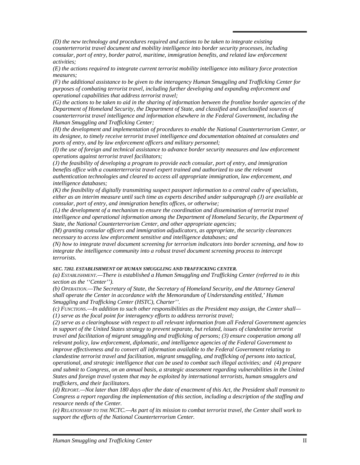*(D) the new technology and procedures required and actions to be taken to integrate existing counterterrorist travel document and mobility intelligence into border security processes, including consular, port of entry, border patrol, maritime, immigration benefits, and related law enforcement activities;* 

*(E) the actions required to integrate current terrorist mobility intelligence into military force protection measures;* 

*(F) the additional assistance to be given to the interagency Human Smuggling and Trafficking Center for purposes of combating terrorist travel, including further developing and expanding enforcement and operational capabilities that address terrorist travel;* 

*(G) the actions to be taken to aid in the sharing of information between the frontline border agencies of the Department of Homeland Security, the Department of State, and classified and unclassified sources of counterterrorist travel intelligence and information elsewhere in the Federal Government, including the Human Smuggling and Trafficking Center;* 

*(H) the development and implementation of procedures to enable the National Counterterrorism Center, or its designee, to timely receive terrorist travel intelligence and documentation obtained at consulates and ports of entry, and by law enforcement officers and military personnel;* 

*(I) the use of foreign and technical assistance to advance border security measures and law enforcement operations against terrorist travel facilitators;* 

*(J) the feasibility of developing a program to provide each consular, port of entry, and immigration benefits office with a counterterrorist travel expert trained and authorized to use the relevant authentication technologies and cleared to access all appropriate immigration, law enforcement, and intelligence databases;* 

*(K) the feasibility of digitally transmitting suspect passport information to a central cadre of specialists, either as an interim measure until such time as experts described under subparagraph (J) are available at consular, port of entry, and immigration benefits offices, or otherwise;* 

*(L) the development of a mechanism to ensure the coordination and dissemination of terrorist travel intelligence and operational information among the Department of Homeland Security, the Department of State, the National Counterterrorism Center, and other appropriate agencies;* 

*(M) granting consular officers and immigration adjudicators, as appropriate, the security clearances necessary to access law enforcement sensitive and intelligence databases; and* 

*(N) how to integrate travel document screening for terrorism indicators into border screening, and how to integrate the intelligence community into a robust travel document screening process to intercept terrorists.*

#### *SEC. 7202. ESTABLISHMENT OF HUMAN SMUGGLING AND TRAFFICKING CENTER.*

*(a) ESTABLISHMENT.—There is established a Human Smuggling and Trafficking Center (referred to in this section as the ''Center'').*

*(b) OPERATION.—The Secretary of State, the Secretary of Homeland Security, and the Attorney General shall operate the Center in accordance with the Memorandum of Understanding entitled,' Human Smuggling and Trafficking Center (HSTC), Charter''.* 

*(c) FUNCTIONS.—In addition to such other responsibilities as the President may assign, the Center shall— (1) serve as the focal point for interagency efforts to address terrorist travel;* 

*(2) serve as a clearinghouse with respect to all relevant information from all Federal Government agencies in support of the United States strategy to prevent separate, but related, issues of clandestine terrorist travel and facilitation of migrant smuggling and trafficking of persons; (3) ensure cooperation among all relevant policy, law enforcement, diplomatic, and intelligence agencies of the Federal Government to improve effectiveness and to convert all information available to the Federal Government relating to clandestine terrorist travel and facilitation, migrant smuggling, and trafficking of persons into tactical, operational, and strategic intelligence that can be used to combat such illegal activities; and (4) prepare and submit to Congress, on an annual basis, a strategic assessment regarding vulnerabilities in the United States and foreign travel system that may be exploited by international terrorists, human smugglers and traffickers, and their facilitators.* 

*(d) REPORT.—Not later than 180 days after the date of enactment of this Act, the President shall transmit to Congress a report regarding the implementation of this section, including a description of the staffing and resource needs of the Center.*

*(e) RELATIONSHIP TO THE NCTC.—As part of its mission to combat terrorist travel, the Center shall work to support the efforts of the National Counterterrorism Center.*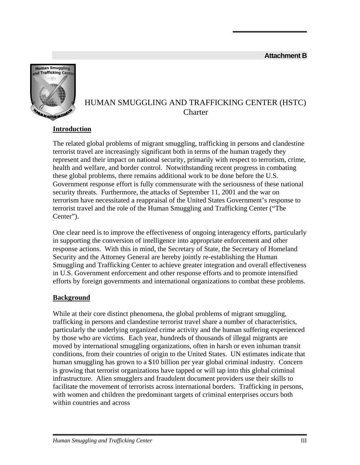<span id="page-17-0"></span>

## HUMAN SMUGGLING AND TRAFFICKING CENTER (HSTC) **Charter**

## **Introduction**

The related global problems of migrant smuggling, trafficking in persons and clandestine terrorist travel are increasingly significant both in terms of the human tragedy they represent and their impact on national security, primarily with respect to terrorism, crime, health and welfare, and border control. Notwithstanding recent progress in combating these global problems, there remains additional work to be done before the U.S. Government response effort is fully commensurate with the seriousness of these national security threats. Furthermore, the attacks of September 11, 2001 and the war on terrorism have necessitated a reappraisal of the United States Government's response to terrorist travel and the role of the Human Smuggling and Trafficking Center ("The Center").

One clear need is to improve the effectiveness of ongoing interagency efforts, particularly in supporting the conversion of intelligence into appropriate enforcement and other response actions. With this in mind, the Secretary of State, the Secretary of Homeland Security and the Attorney General are hereby jointly re-establishing the Human Smuggling and Trafficking Center to achieve greater integration and overall effectiveness in U.S. Government enforcement and other response efforts and to promote intensified efforts by foreign governments and international organizations to combat these problems.

#### **Background**

While at their core distinct phenomena, the global problems of migrant smuggling, trafficking in persons and clandestine terrorist travel share a number of characteristics, particularly the underlying organized crime activity and the human suffering experienced by those who are victims. Each year, hundreds of thousands of illegal migrants are moved by international smuggling organizations, often in harsh or even inhuman transit conditions, from their countries of origin to the United States. UN estimates indicate that human smuggling has grown to a \$10 billion per year global criminal industry. Concern is growing that terrorist organizations have tapped or will tap into this global criminal infrastructure. Alien smugglers and fraudulent document providers use their skills to facilitate the movement of terrorists across international borders. Trafficking in persons, with women and children the predominant targets of criminal enterprises occurs both within countries and across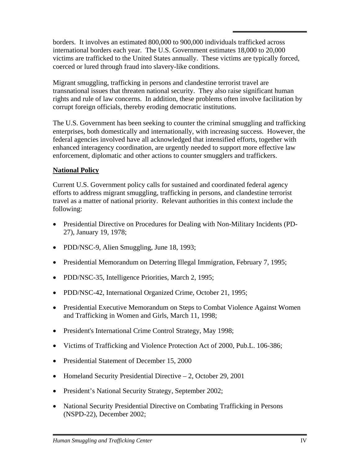borders. It involves an estimated 800,000 to 900,000 individuals trafficked across international borders each year. The U.S. Government estimates 18,000 to 20,000 victims are trafficked to the United States annually. These victims are typically forced, coerced or lured through fraud into slavery-like conditions.

Migrant smuggling, trafficking in persons and clandestine terrorist travel are transnational issues that threaten national security. They also raise significant human rights and rule of law concerns. In addition, these problems often involve facilitation by corrupt foreign officials, thereby eroding democratic institutions.

The U.S. Government has been seeking to counter the criminal smuggling and trafficking enterprises, both domestically and internationally, with increasing success. However, the federal agencies involved have all acknowledged that intensified efforts, together with enhanced interagency coordination, are urgently needed to support more effective law enforcement, diplomatic and other actions to counter smugglers and traffickers.

#### **National Policy**

Current U.S. Government policy calls for sustained and coordinated federal agency efforts to address migrant smuggling, trafficking in persons, and clandestine terrorist travel as a matter of national priority. Relevant authorities in this context include the following:

- Presidential Directive on Procedures for Dealing with Non-Military Incidents (PD-27), January 19, 1978;
- PDD/NSC-9, Alien Smuggling, June 18, 1993;
- Presidential Memorandum on Deterring Illegal Immigration, February 7, 1995;
- PDD/NSC-35, Intelligence Priorities, March 2, 1995;
- PDD/NSC-42, International Organized Crime, October 21, 1995;
- Presidential Executive Memorandum on Steps to Combat Violence Against Women and Trafficking in Women and Girls, March 11, 1998;
- President's International Crime Control Strategy, May 1998;
- Victims of Trafficking and Violence Protection Act of 2000, Pub.L. 106-386;
- Presidential Statement of December 15, 2000
- Homeland Security Presidential Directive 2, October 29, 2001
- President's National Security Strategy, September 2002;
- National Security Presidential Directive on Combating Trafficking in Persons (NSPD-22), December 2002;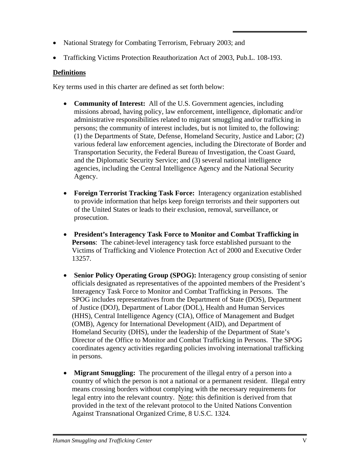- National Strategy for Combating Terrorism, February 2003; and
- Trafficking Victims Protection Reauthorization Act of 2003, Pub.L. 108-193.

#### **Definitions**

Key terms used in this charter are defined as set forth below:

- **Community of Interest:** All of the U.S. Government agencies, including missions abroad, having policy, law enforcement, intelligence, diplomatic and/or administrative responsibilities related to migrant smuggling and/or trafficking in persons; the community of interest includes, but is not limited to, the following: (1) the Departments of State, Defense, Homeland Security, Justice and Labor; (2) various federal law enforcement agencies, including the Directorate of Border and Transportation Security, the Federal Bureau of Investigation, the Coast Guard, and the Diplomatic Security Service; and (3) several national intelligence agencies, including the Central Intelligence Agency and the National Security Agency.
- **Foreign Terrorist Tracking Task Force:** Interagency organization established to provide information that helps keep foreign terrorists and their supporters out of the United States or leads to their exclusion, removal, surveillance, or prosecution.
- **President's Interagency Task Force to Monitor and Combat Trafficking in Persons**: The cabinet-level interagency task force established pursuant to the Victims of Trafficking and Violence Protection Act of 2000 and Executive Order 13257.
- **Senior Policy Operating Group (SPOG):** Interagency group consisting of senior officials designated as representatives of the appointed members of the President's Interagency Task Force to Monitor and Combat Trafficking in Persons. The SPOG includes representatives from the Department of State (DOS), Department of Justice (DOJ), Department of Labor (DOL), Health and Human Services (HHS), Central Intelligence Agency (CIA), Office of Management and Budget (OMB), Agency for International Development (AID), and Department of Homeland Security (DHS), under the leadership of the Department of State's Director of the Office to Monitor and Combat Trafficking in Persons. The SPOG coordinates agency activities regarding policies involving international trafficking in persons.
- **Migrant Smuggling:** The procurement of the illegal entry of a person into a country of which the person is not a national or a permanent resident. Illegal entry means crossing borders without complying with the necessary requirements for legal entry into the relevant country. Note: this definition is derived from that provided in the text of the relevant protocol to the United Nations Convention Against Transnational Organized Crime, 8 U.S.C. 1324.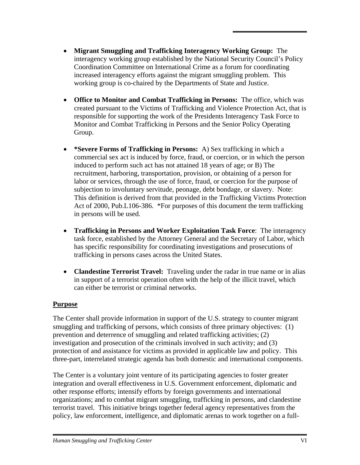- **Migrant Smuggling and Trafficking Interagency Working Group:** The interagency working group established by the National Security Council's Policy Coordination Committee on International Crime as a forum for coordinating increased interagency efforts against the migrant smuggling problem. This working group is co-chaired by the Departments of State and Justice.
- **Office to Monitor and Combat Trafficking in Persons:** The office, which was created pursuant to the Victims of Trafficking and Violence Protection Act, that is responsible for supporting the work of the Presidents Interagency Task Force to Monitor and Combat Trafficking in Persons and the Senior Policy Operating Group.
- **\*Severe Forms of Trafficking in Persons:** A) Sex trafficking in which a commercial sex act is induced by force, fraud, or coercion, or in which the person induced to perform such act has not attained 18 years of age; or B) The recruitment, harboring, transportation, provision, or obtaining of a person for labor or services, through the use of force, fraud, or coercion for the purpose of subjection to involuntary servitude, peonage, debt bondage, or slavery. Note: This definition is derived from that provided in the Trafficking Victims Protection Act of 2000, Pub.L106-386. \*For purposes of this document the term trafficking in persons will be used.
- **Trafficking in Persons and Worker Exploitation Task Force**: The interagency task force, established by the Attorney General and the Secretary of Labor, which has specific responsibility for coordinating investigations and prosecutions of trafficking in persons cases across the United States.
- **Clandestine Terrorist Travel:** Traveling under the radar in true name or in alias in support of a terrorist operation often with the help of the illicit travel, which can either be terrorist or criminal networks.

#### **Purpose**

The Center shall provide information in support of the U.S. strategy to counter migrant smuggling and trafficking of persons, which consists of three primary objectives: (1) prevention and deterrence of smuggling and related trafficking activities; (2) investigation and prosecution of the criminals involved in such activity; and (3) protection of and assistance for victims as provided in applicable law and policy. This three-part, interrelated strategic agenda has both domestic and international components.

The Center is a voluntary joint venture of its participating agencies to foster greater integration and overall effectiveness in U.S. Government enforcement, diplomatic and other response efforts; intensify efforts by foreign governments and international organizations; and to combat migrant smuggling, trafficking in persons, and clandestine terrorist travel. This initiative brings together federal agency representatives from the policy, law enforcement, intelligence, and diplomatic arenas to work together on a full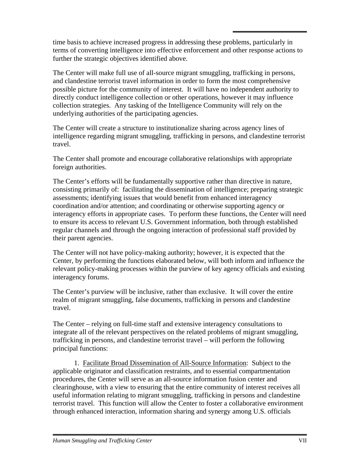time basis to achieve increased progress in addressing these problems, particularly in terms of converting intelligence into effective enforcement and other response actions to further the strategic objectives identified above.

The Center will make full use of all-source migrant smuggling, trafficking in persons, and clandestine terrorist travel information in order to form the most comprehensive possible picture for the community of interest. It will have no independent authority to directly conduct intelligence collection or other operations, however it may influence collection strategies. Any tasking of the Intelligence Community will rely on the underlying authorities of the participating agencies.

The Center will create a structure to institutionalize sharing across agency lines of intelligence regarding migrant smuggling, trafficking in persons, and clandestine terrorist travel.

The Center shall promote and encourage collaborative relationships with appropriate foreign authorities.

The Center's efforts will be fundamentally supportive rather than directive in nature, consisting primarily of: facilitating the dissemination of intelligence; preparing strategic assessments; identifying issues that would benefit from enhanced interagency coordination and/or attention; and coordinating or otherwise supporting agency or interagency efforts in appropriate cases. To perform these functions, the Center will need to ensure its access to relevant U.S. Government information, both through established regular channels and through the ongoing interaction of professional staff provided by their parent agencies.

The Center will not have policy-making authority; however, it is expected that the Center, by performing the functions elaborated below, will both inform and influence the relevant policy-making processes within the purview of key agency officials and existing interagency forums.

The Center's purview will be inclusive, rather than exclusive. It will cover the entire realm of migrant smuggling, false documents, trafficking in persons and clandestine travel.

The Center – relying on full-time staff and extensive interagency consultations to integrate all of the relevant perspectives on the related problems of migrant smuggling, trafficking in persons, and clandestine terrorist travel – will perform the following principal functions:

1. Facilitate Broad Dissemination of All-Source Information: Subject to the applicable originator and classification restraints, and to essential compartmentation procedures, the Center will serve as an all-source information fusion center and clearinghouse, with a view to ensuring that the entire community of interest receives all useful information relating to migrant smuggling, trafficking in persons and clandestine terrorist travel. This function will allow the Center to foster a collaborative environment through enhanced interaction, information sharing and synergy among U.S. officials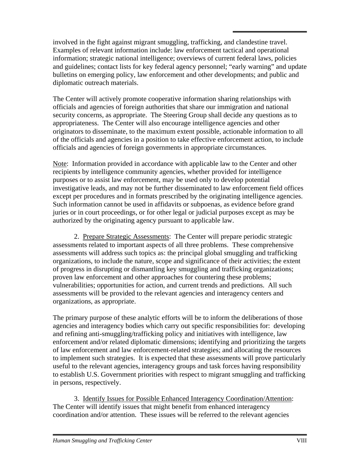involved in the fight against migrant smuggling, trafficking, and clandestine travel. Examples of relevant information include: law enforcement tactical and operational information; strategic national intelligence; overviews of current federal laws, policies and guidelines; contact lists for key federal agency personnel; "early warning" and update bulletins on emerging policy, law enforcement and other developments; and public and diplomatic outreach materials.

The Center will actively promote cooperative information sharing relationships with officials and agencies of foreign authorities that share our immigration and national security concerns, as appropriate. The Steering Group shall decide any questions as to appropriateness. The Center will also encourage intelligence agencies and other originators to disseminate, to the maximum extent possible, actionable information to all of the officials and agencies in a position to take effective enforcement action, to include officials and agencies of foreign governments in appropriate circumstances.

Note: Information provided in accordance with applicable law to the Center and other recipients by intelligence community agencies, whether provided for intelligence purposes or to assist law enforcement, may be used only to develop potential investigative leads, and may not be further disseminated to law enforcement field offices except per procedures and in formats prescribed by the originating intelligence agencies. Such information cannot be used in affidavits or subpoenas, as evidence before grand juries or in court proceedings, or for other legal or judicial purposes except as may be authorized by the originating agency pursuant to applicable law.

2. Prepare Strategic Assessments: The Center will prepare periodic strategic assessments related to important aspects of all three problems. These comprehensive assessments will address such topics as: the principal global smuggling and trafficking organizations, to include the nature, scope and significance of their activities; the extent of progress in disrupting or dismantling key smuggling and trafficking organizations; proven law enforcement and other approaches for countering these problems; vulnerabilities; opportunities for action, and current trends and predictions. All such assessments will be provided to the relevant agencies and interagency centers and organizations, as appropriate.

The primary purpose of these analytic efforts will be to inform the deliberations of those agencies and interagency bodies which carry out specific responsibilities for: developing and refining anti-smuggling/trafficking policy and initiatives with intelligence, law enforcement and/or related diplomatic dimensions; identifying and prioritizing the targets of law enforcement and law enforcement-related strategies; and allocating the resources to implement such strategies. It is expected that these assessments will prove particularly useful to the relevant agencies, interagency groups and task forces having responsibility to establish U.S. Government priorities with respect to migrant smuggling and trafficking in persons, respectively.

3. Identify Issues for Possible Enhanced Interagency Coordination/Attention: The Center will identify issues that might benefit from enhanced interagency coordination and/or attention. These issues will be referred to the relevant agencies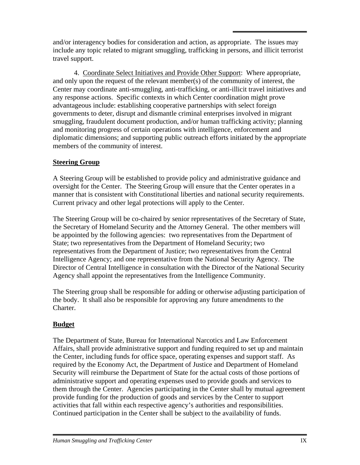and/or interagency bodies for consideration and action, as appropriate. The issues may include any topic related to migrant smuggling, trafficking in persons, and illicit terrorist travel support.

4. Coordinate Select Initiatives and Provide Other Support: Where appropriate, and only upon the request of the relevant member(s) of the community of interest, the Center may coordinate anti-smuggling, anti-trafficking, or anti-illicit travel initiatives and any response actions. Specific contexts in which Center coordination might prove advantageous include: establishing cooperative partnerships with select foreign governments to deter, disrupt and dismantle criminal enterprises involved in migrant smuggling, fraudulent document production, and/or human trafficking activity; planning and monitoring progress of certain operations with intelligence, enforcement and diplomatic dimensions; and supporting public outreach efforts initiated by the appropriate members of the community of interest.

#### **Steering Group**

A Steering Group will be established to provide policy and administrative guidance and oversight for the Center. The Steering Group will ensure that the Center operates in a manner that is consistent with Constitutional liberties and national security requirements. Current privacy and other legal protections will apply to the Center.

The Steering Group will be co-chaired by senior representatives of the Secretary of State, the Secretary of Homeland Security and the Attorney General. The other members will be appointed by the following agencies: two representatives from the Department of State; two representatives from the Department of Homeland Security; two representatives from the Department of Justice; two representatives from the Central Intelligence Agency; and one representative from the National Security Agency. The Director of Central Intelligence in consultation with the Director of the National Security Agency shall appoint the representatives from the Intelligence Community.

The Steering group shall be responsible for adding or otherwise adjusting participation of the body. It shall also be responsible for approving any future amendments to the Charter.

## **Budget**

The Department of State, Bureau for International Narcotics and Law Enforcement Affairs, shall provide administrative support and funding required to set up and maintain the Center, including funds for office space, operating expenses and support staff. As required by the Economy Act, the Department of Justice and Department of Homeland Security will reimburse the Department of State for the actual costs of those portions of administrative support and operating expenses used to provide goods and services to them through the Center. Agencies participating in the Center shall by mutual agreement provide funding for the production of goods and services by the Center to support activities that fall within each respective agency's authorities and responsibilities. Continued participation in the Center shall be subject to the availability of funds.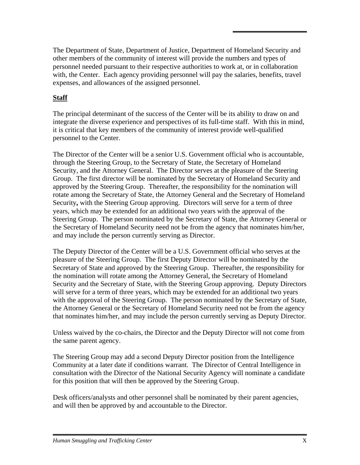The Department of State, Department of Justice, Department of Homeland Security and other members of the community of interest will provide the numbers and types of personnel needed pursuant to their respective authorities to work at, or in collaboration with, the Center. Each agency providing personnel will pay the salaries, benefits, travel expenses, and allowances of the assigned personnel.

## **Staff**

The principal determinant of the success of the Center will be its ability to draw on and integrate the diverse experience and perspectives of its full-time staff. With this in mind, it is critical that key members of the community of interest provide well-qualified personnel to the Center.

The Director of the Center will be a senior U.S. Government official who is accountable, through the Steering Group, to the Secretary of State, the Secretary of Homeland Security, and the Attorney General. The Director serves at the pleasure of the Steering Group. The first director will be nominated by the Secretary of Homeland Security and approved by the Steering Group. Thereafter, the responsibility for the nomination will rotate among the Secretary of State, the Attorney General and the Secretary of Homeland Security**,** with the Steering Group approving. Directors will serve for a term of three years, which may be extended for an additional two years with the approval of the Steering Group. The person nominated by the Secretary of State, the Attorney General or the Secretary of Homeland Security need not be from the agency that nominates him/her, and may include the person currently serving as Director.

The Deputy Director of the Center will be a U.S. Government official who serves at the pleasure of the Steering Group. The first Deputy Director will be nominated by the Secretary of State and approved by the Steering Group. Thereafter, the responsibility for the nomination will rotate among the Attorney General, the Secretary of Homeland Security and the Secretary of State, with the Steering Group approving. Deputy Directors will serve for a term of three years, which may be extended for an additional two years with the approval of the Steering Group. The person nominated by the Secretary of State, the Attorney General or the Secretary of Homeland Security need not be from the agency that nominates him/her, and may include the person currently serving as Deputy Director.

Unless waived by the co-chairs, the Director and the Deputy Director will not come from the same parent agency.

The Steering Group may add a second Deputy Director position from the Intelligence Community at a later date if conditions warrant. The Director of Central Intelligence in consultation with the Director of the National Security Agency will nominate a candidate for this position that will then be approved by the Steering Group.

Desk officers/analysts and other personnel shall be nominated by their parent agencies, and will then be approved by and accountable to the Director.